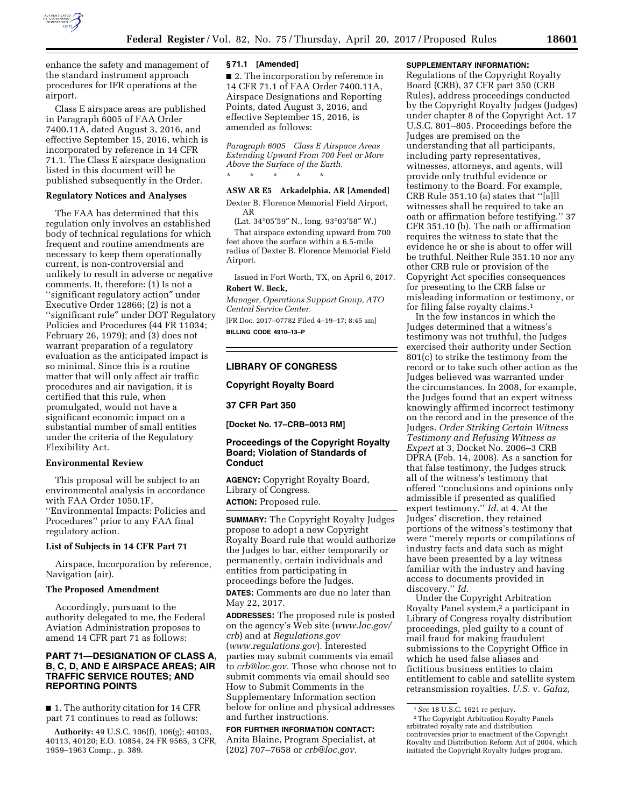

enhance the safety and management of the standard instrument approach procedures for IFR operations at the airport.

Class E airspace areas are published in Paragraph 6005 of FAA Order 7400.11A, dated August 3, 2016, and effective September 15, 2016, which is incorporated by reference in 14 CFR 71.1. The Class E airspace designation listed in this document will be published subsequently in the Order.

### **Regulatory Notices and Analyses**

The FAA has determined that this regulation only involves an established body of technical regulations for which frequent and routine amendments are necessary to keep them operationally current, is non-controversial and unlikely to result in adverse or negative comments. It, therefore: (1) Is not a ''significant regulatory action″ under Executive Order 12866; (2) is not a ''significant rule″ under DOT Regulatory Policies and Procedures (44 FR 11034; February 26, 1979); and (3) does not warrant preparation of a regulatory evaluation as the anticipated impact is so minimal. Since this is a routine matter that will only affect air traffic procedures and air navigation, it is certified that this rule, when promulgated, would not have a significant economic impact on a substantial number of small entities under the criteria of the Regulatory Flexibility Act.

## **Environmental Review**

This proposal will be subject to an environmental analysis in accordance with FAA Order 1050.1F, ''Environmental Impacts: Policies and Procedures'' prior to any FAA final regulatory action.

#### **List of Subjects in 14 CFR Part 71**

Airspace, Incorporation by reference, Navigation (air).

#### **The Proposed Amendment**

Accordingly, pursuant to the authority delegated to me, the Federal Aviation Administration proposes to amend 14 CFR part 71 as follows:

## **PART 71—DESIGNATION OF CLASS A, B, C, D, AND E AIRSPACE AREAS; AIR TRAFFIC SERVICE ROUTES; AND REPORTING POINTS**

■ 1. The authority citation for 14 CFR part 71 continues to read as follows:

**Authority:** 49 U.S.C. 106(f), 106(g); 40103, 40113, 40120; E.O. 10854, 24 FR 9565, 3 CFR, 1959–1963 Comp., p. 389.

#### **§ 71.1 [Amended]**

■ 2. The incorporation by reference in 14 CFR 71.1 of FAA Order 7400.11A, Airspace Designations and Reporting Points, dated August 3, 2016, and effective September 15, 2016, is amended as follows:

*Paragraph 6005 Class E Airspace Areas Extending Upward From 700 Feet or More Above the Surface of the Earth.*  \* \* \* \* \*

## **ASW AR E5 Arkadelphia, AR [Amended]**

Dexter B. Florence Memorial Field Airport, AR

(Lat. 34°05′59″ N., long. 93°03′58″ W.)

That airspace extending upward from 700 feet above the surface within a 6.5-mile radius of Dexter B. Florence Memorial Field Airport.

Issued in Fort Worth, TX, on April 6, 2017. **Robert W. Beck,** 

*Manager, Operations Support Group, ATO Central Service Center.* 

[FR Doc. 2017–07782 Filed 4–19–17; 8:45 am] **BILLING CODE 4910–13–P** 

### **LIBRARY OF CONGRESS**

**Copyright Royalty Board** 

#### **37 CFR Part 350**

**[Docket No. 17–CRB–0013 RM]** 

## **Proceedings of the Copyright Royalty Board; Violation of Standards of Conduct**

**AGENCY:** Copyright Royalty Board, Library of Congress. **ACTION:** Proposed rule.

**SUMMARY:** The Copyright Royalty Judges propose to adopt a new Copyright Royalty Board rule that would authorize the Judges to bar, either temporarily or permanently, certain individuals and entities from participating in proceedings before the Judges.

**DATES:** Comments are due no later than May 22, 2017.

**ADDRESSES:** The proposed rule is posted on the agency's Web site (*[www.loc.gov/](http://www.loc.gov/crb) [crb](http://www.loc.gov/crb)*) and at *Regulations.gov*  (*[www.regulations.gov](http://www.regulations.gov)*). Interested parties may submit comments via email to *[crb@loc.gov.](mailto:crb@loc.gov)* Those who choose not to submit comments via email should see How to Submit Comments in the Supplementary Information section below for online and physical addresses and further instructions.

## **FOR FURTHER INFORMATION CONTACT:**  Anita Blaine, Program Specialist, at (202) 707–7658 or *[crb@loc.gov.](mailto:crb@loc.gov)*

## **SUPPLEMENTARY INFORMATION:**

Regulations of the Copyright Royalty Board (CRB), 37 CFR part 350 (CRB Rules), address proceedings conducted by the Copyright Royalty Judges (Judges) under chapter 8 of the Copyright Act. 17 U.S.C. 801–805. Proceedings before the Judges are premised on the understanding that all participants, including party representatives, witnesses, attorneys, and agents, will provide only truthful evidence or testimony to the Board. For example, CRB Rule 351.10 (a) states that ''[a]ll witnesses shall be required to take an oath or affirmation before testifying.'' 37 CFR 351.10 (b). The oath or affirmation requires the witness to state that the evidence he or she is about to offer will be truthful. Neither Rule 351.10 nor any other CRB rule or provision of the Copyright Act specifies consequences for presenting to the CRB false or misleading information or testimony, or for filing false royalty claims.1

In the few instances in which the Judges determined that a witness's testimony was not truthful, the Judges exercised their authority under Section 801(c) to strike the testimony from the record or to take such other action as the Judges believed was warranted under the circumstances. In 2008, for example, the Judges found that an expert witness knowingly affirmed incorrect testimony on the record and in the presence of the Judges. *Order Striking Certain Witness Testimony and Refusing Witness as Expert* at 3, Docket No. 2006–3 CRB DPRA (Feb. 14, 2008). As a sanction for that false testimony, the Judges struck all of the witness's testimony that offered ''conclusions and opinions only admissible if presented as qualified expert testimony.'' *Id.* at 4. At the Judges' discretion, they retained portions of the witness's testimony that were ''merely reports or compilations of industry facts and data such as might have been presented by a lay witness familiar with the industry and having access to documents provided in discovery.'' *Id.* 

Under the Copyright Arbitration Royalty Panel system,2 a participant in Library of Congress royalty distribution proceedings, pled guilty to a count of mail fraud for making fraudulent submissions to the Copyright Office in which he used false aliases and fictitious business entities to claim entitlement to cable and satellite system retransmission royalties. *U.S.* v. *Galaz,* 

<sup>1</sup>*See* 18 U.S.C. 1621 re perjury. 2The Copyright Arbitration Royalty Panels arbitrated royalty rate and distribution controversies prior to enactment of the Copyright Royalty and Distribution Reform Act of 2004, which initiated the Copyright Royalty Judges program.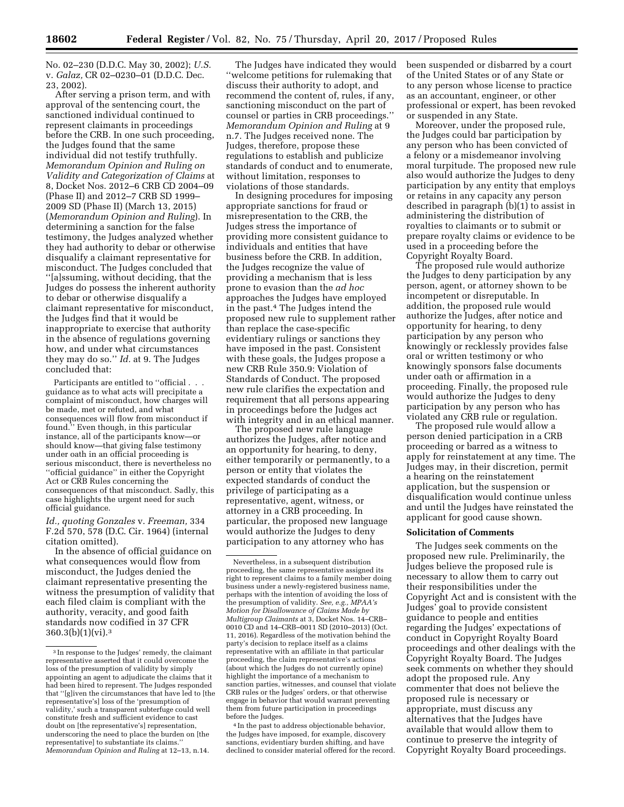No. 02–230 (D.D.C. May 30, 2002); *U.S.*  v. *Galaz,* CR 02–0230–01 (D.D.C. Dec. 23, 2002).

After serving a prison term, and with approval of the sentencing court, the sanctioned individual continued to represent claimants in proceedings before the CRB. In one such proceeding, the Judges found that the same individual did not testify truthfully. *Memorandum Opinion and Ruling on Validity and Categorization of Claims* at 8, Docket Nos. 2012–6 CRB CD 2004–09 (Phase II) and 2012–7 CRB SD 1999– 2009 SD (Phase II) (March 13, 2015) (*Memorandum Opinion and Ruling*). In determining a sanction for the false testimony, the Judges analyzed whether they had authority to debar or otherwise disqualify a claimant representative for misconduct. The Judges concluded that ''[a]ssuming, without deciding, that the Judges do possess the inherent authority to debar or otherwise disqualify a claimant representative for misconduct, the Judges find that it would be inappropriate to exercise that authority in the absence of regulations governing how, and under what circumstances they may do so.'' *Id.* at 9. The Judges concluded that:

Participants are entitled to "official . . . guidance as to what acts will precipitate a complaint of misconduct, how charges will be made, met or refuted, and what consequences will flow from misconduct if found.'' Even though, in this particular instance, all of the participants know—or should know—that giving false testimony under oath in an official proceeding is serious misconduct, there is nevertheless no ''official guidance'' in either the Copyright Act or CRB Rules concerning the consequences of that misconduct. Sadly, this case highlights the urgent need for such official guidance.

*Id., quoting Gonzales* v. *Freeman,* 334 F.2d 570, 578 (D.C. Cir. 1964) (internal citation omitted).

In the absence of official guidance on what consequences would flow from misconduct, the Judges denied the claimant representative presenting the witness the presumption of validity that each filed claim is compliant with the authority, veracity, and good faith standards now codified in 37 CFR 360.3(b)(1)(vi).3

The Judges have indicated they would ''welcome petitions for rulemaking that discuss their authority to adopt, and recommend the content of, rules, if any, sanctioning misconduct on the part of counsel or parties in CRB proceedings.'' *Memorandum Opinion and Ruling* at 9 n.7. The Judges received none. The Judges, therefore, propose these regulations to establish and publicize standards of conduct and to enumerate, without limitation, responses to violations of those standards.

In designing procedures for imposing appropriate sanctions for fraud or misrepresentation to the CRB, the Judges stress the importance of providing more consistent guidance to individuals and entities that have business before the CRB. In addition, the Judges recognize the value of providing a mechanism that is less prone to evasion than the *ad hoc*  approaches the Judges have employed in the past.4 The Judges intend the proposed new rule to supplement rather than replace the case-specific evidentiary rulings or sanctions they have imposed in the past. Consistent with these goals, the Judges propose a new CRB Rule 350.9: Violation of Standards of Conduct. The proposed new rule clarifies the expectation and requirement that all persons appearing in proceedings before the Judges act with integrity and in an ethical manner.

The proposed new rule language authorizes the Judges, after notice and an opportunity for hearing, to deny, either temporarily or permanently, to a person or entity that violates the expected standards of conduct the privilege of participating as a representative, agent, witness, or attorney in a CRB proceeding. In particular, the proposed new language would authorize the Judges to deny participation to any attorney who has

4 In the past to address objectionable behavior, the Judges have imposed, for example, discovery sanctions, evidentiary burden shifting, and have declined to consider material offered for the record. been suspended or disbarred by a court of the United States or of any State or to any person whose license to practice as an accountant, engineer, or other professional or expert, has been revoked or suspended in any State.

Moreover, under the proposed rule, the Judges could bar participation by any person who has been convicted of a felony or a misdemeanor involving moral turpitude. The proposed new rule also would authorize the Judges to deny participation by any entity that employs or retains in any capacity any person described in paragraph (b)(1) to assist in administering the distribution of royalties to claimants or to submit or prepare royalty claims or evidence to be used in a proceeding before the Copyright Royalty Board.

The proposed rule would authorize the Judges to deny participation by any person, agent, or attorney shown to be incompetent or disreputable. In addition, the proposed rule would authorize the Judges, after notice and opportunity for hearing, to deny participation by any person who knowingly or recklessly provides false oral or written testimony or who knowingly sponsors false documents under oath or affirmation in a proceeding. Finally, the proposed rule would authorize the Judges to deny participation by any person who has violated any CRB rule or regulation.

The proposed rule would allow a person denied participation in a CRB proceeding or barred as a witness to apply for reinstatement at any time. The Judges may, in their discretion, permit a hearing on the reinstatement application, but the suspension or disqualification would continue unless and until the Judges have reinstated the applicant for good cause shown.

#### **Solicitation of Comments**

The Judges seek comments on the proposed new rule. Preliminarily, the Judges believe the proposed rule is necessary to allow them to carry out their responsibilities under the Copyright Act and is consistent with the Judges' goal to provide consistent guidance to people and entities regarding the Judges' expectations of conduct in Copyright Royalty Board proceedings and other dealings with the Copyright Royalty Board. The Judges seek comments on whether they should adopt the proposed rule. Any commenter that does not believe the proposed rule is necessary or appropriate, must discuss any alternatives that the Judges have available that would allow them to continue to preserve the integrity of Copyright Royalty Board proceedings.

<sup>3</sup> In response to the Judges' remedy, the claimant representative asserted that it could overcome the loss of the presumption of validity by simply appointing an agent to adjudicate the claims that it had been hired to represent. The Judges responded that ''[g]iven the circumstances that have led to [the representative's] loss of the 'presumption of validity,' such a transparent subterfuge could well constitute fresh and sufficient evidence to cast doubt on [the representative's] representation, underscoring the need to place the burden on [the representative] to substantiate its claims.'' *Memorandum Opinion and Ruling* at 12–13, n.14.

Nevertheless, in a subsequent distribution proceeding, the same representative assigned its right to represent claims to a family member doing business under a newly-registered business name, perhaps with the intention of avoiding the loss of the presumption of validity. *See, e.g., MPAA's Motion for Disallowance of Claims Made by Multigroup Claimants* at 3, Docket Nos. 14–CRB– 0010 CD and 14–CRB–0011 SD (2010–2013) (Oct. 11, 2016). Regardless of the motivation behind the party's decision to replace itself as a claims representative with an affiliate in that particular proceeding, the claim representative's actions (about which the Judges do not currently opine) highlight the importance of a mechanism to sanction parties, witnesses, and counsel that violate CRB rules or the Judges' orders, or that otherwise engage in behavior that would warrant preventing them from future participation in proceedings before the Judges.